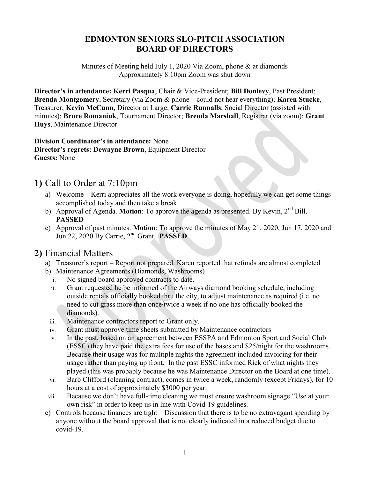#### EDMONTON SENIORS SLO-PITCH ASSOCIATION BOARD OF DIRECTORS

Minutes of Meeting held July 1, 2020 Via Zoom, phone & at diamonds Approximately 8:10pm Zoom was shut down

Director's in attendance: Kerri Pasqua, Chair & Vice-President; Bill Donlevy, Past President; Brenda Montgomery, Secretary (via Zoom & phone – could not hear everything); Karen Stucke, Treasurer; Kevin McCunn, Director at Large; Carrie Runnalls, Social Director (assisted with minutes); Bruce Romaniuk, Tournament Director; Brenda Marshall, Registrar (via zoom); Grant Huys, Maintenance Director

Division Coordinator's in attendance: None Director's regrets: Dewayne Brown, Equipment Director Guests: None

### 1) Call to Order at 7:10pm

- a) Welcome Kerri appreciates all the work everyone is doing, hopefully we can get some things accomplished today and then take a break
- b) Approval of Agenda. Motion: To approve the agenda as presented. By Kevin, 2<sup>nd</sup> Bill. PASSED
- c) Approval of past minutes. Motion: To approve the minutes of May 21, 2020, Jun 17, 2020 and Jun 22, 2020 By Carrie, 2nd Grant. PASSED

### 2) Financial Matters

- a) Treasurer's report Report not prepared. Karen reported that refunds are almost completed
- b) Maintenance Agreements (Diamonds, Washrooms)
	- i. No signed board approved contracts to date.
	- ii. Grant requested he be informed of the Airways diamond booking schedule, including outside rentals officially booked thru the city, to adjust maintenance as required (i.e. no need to cut grass more than once/twice a week if no one has officially booked the diamonds).
	- iii. Maintenance contractors report to Grant only.
	- iv. Grant must approve time sheets submitted by Maintenance contractors
	- v. In the past, based on an agreement between ESSPA and Edmonton Sport and Social Club (ESSC) they have paid the extra fees for use of the bases and \$25/night for the washrooms. Because their usage was for multiple nights the agreement included invoicing for their usage rather than paying up front. In the past ESSC informed Rick of what nights they played (this was probably because he was Maintenance Director on the Board at one time).
	- vi. Barb Clifford (cleaning contract), comes in twice a week, randomly (except Fridays), for 10 hours at a cost of approximately \$3000 per year.
- vii. Because we don't have full-time cleaning we must ensure washroom signage "Use at your own risk" in order to keep us in line with Covid-19 guidelines.
- c) Controls because finances are tight Discussion that there is to be no extravagant spending by anyone without the board approval that is not clearly indicated in a reduced budget due to covid-19.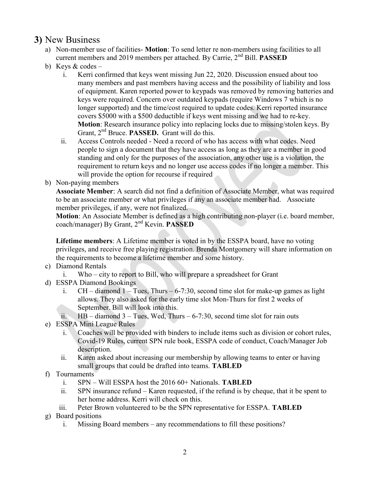### 3) New Business

- a) Non-member use of facilities- Motion: To send letter re non-members using facilities to all current members and 2019 members per attached. By Carrie,  $2<sup>nd</sup>$  Bill. **PASSED**
- b) Keys & codes
	- i. Kerri confirmed that keys went missing Jun 22, 2020. Discussion ensued about too many members and past members having access and the possibility of liability and loss of equipment. Karen reported power to keypads was removed by removing batteries and keys were required. Concern over outdated keypads (require Windows 7 which is no longer supported) and the time/cost required to update codes. Kerri reported insurance covers \$5000 with a \$500 deductible if keys went missing and we had to re-key. Motion: Research insurance policy into replacing locks due to missing/stolen keys. By Grant, 2<sup>nd</sup> Bruce. **PASSED.** Grant will do this.
	- ii. Access Controls needed Need a record of who has access with what codes. Need people to sign a document that they have access as long as they are a member in good standing and only for the purposes of the association, any other use is a violation, the requirement to return keys and no longer use access codes if no longer a member. This will provide the option for recourse if required
- b) Non-paying members

Associate Member: A search did not find a definition of Associate Member, what was required to be an associate member or what privileges if any an associate member had. Associate member privileges, if any, were not finalized.

Motion: An Associate Member is defined as a high contributing non-player (i.e. board member, coach/manager) By Grant, 2<sup>nd</sup> Kevin. **PASSED** 

Lifetime members: A Lifetime member is voted in by the ESSPA board, have no voting privileges, and receive free playing registration. Brenda Montgomery will share information on the requirements to become a lifetime member and some history.

- c) Diamond Rentals
	- i. Who city to report to Bill, who will prepare a spreadsheet for Grant
- d) ESSPA Diamond Bookings
	- i.  $CH diamond 1 Tuesday$ , Thurs 6-7:30, second time slot for make-up games as light allows. They also asked for the early time slot Mon-Thurs for first 2 weeks of September. Bill will look into this.
	- ii.  $HB$  diamond 3 Tues, Wed, Thurs 6-7:30, second time slot for rain outs
- e) ESSPA Mini League Rules
	- i. Coaches will be provided with binders to include items such as division or cohort rules, Covid-19 Rules, current SPN rule book, ESSPA code of conduct, Coach/Manager Job description.
	- ii. Karen asked about increasing our membership by allowing teams to enter or having small groups that could be drafted into teams. TABLED
- f) Tournaments
	- i. SPN Will ESSPA host the 2016 60+ Nationals. TABLED
	- ii. SPN insurance refund Karen requested, if the refund is by cheque, that it be spent to her home address. Kerri will check on this.
	- iii. Peter Brown volunteered to be the SPN representative for ESSPA. TABLED
- g) Board positions
	- i. Missing Board members any recommendations to fill these positions?